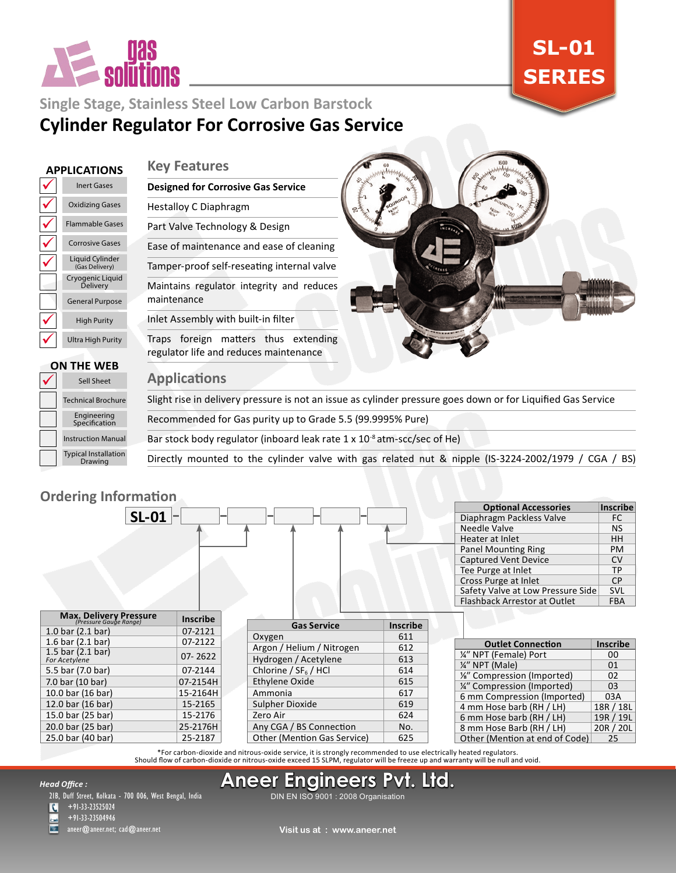

# **SL-01 SERIES**

# **Single Stage, Stainless Steel Low Carbon Barstock Cylinder Regulator For Corrosive Gas Service**

#### **APPLICATIONS**

#### **Key Features**

#### $\checkmark$  $\checkmark$  $\checkmark$  $\checkmark$  $\checkmark$  $\checkmark$  $\checkmark$ Ultra High Purity High Purity General Purpose Cryogenic Liquid Delivery Liquid Cylinder (Gas Delivery) Corrosive Gases Flammable Gases Oxidizing Gases Inert Gases

**ON THE WEB**

 $\checkmark$ 

# **Designed for Corrosive Gas Service** Hestalloy C Diaphragm Part Valve Technology & Design

Ease of maintenance and ease of cleaning Tamper-proof self-reseating internal valve Maintains regulator integrity and reduces maintenance

# Inlet Assembly with built-in filter

Traps foreign matters thus extending regulator life and reduces maintenance

#### **Applications**

Slight rise in delivery pressure is not an issue as cylinder pressure goes down or for Liquified Gas Service

Recommended for Gas purity up to Grade 5.5 (99.9995% Pure)

Bar stock body regulator (inboard leak rate 1 x 10-8 atm-scc/sec of He)

Directly mounted to the cylinder valve with gas related nut & nipple (IS-3224-2002/1979 / CGA / BS)

# **Ordering Information**

Typical Installation Drawing

Instruction Manual Engineering Specification Technical Brochure Sell Sheet

| <b>Ordering Information</b>                             |                 |                                    |                 |                                   |                 |
|---------------------------------------------------------|-----------------|------------------------------------|-----------------|-----------------------------------|-----------------|
|                                                         |                 |                                    |                 | <b>Optional Accessories</b>       | <b>Inscribe</b> |
| $SL-01$ -                                               |                 |                                    |                 | Diaphragm Packless Valve          | <b>FC</b>       |
|                                                         |                 |                                    |                 | Needle Valve                      | <b>NS</b>       |
|                                                         |                 |                                    |                 | Heater at Inlet                   | HH              |
|                                                         |                 |                                    |                 | <b>Panel Mounting Ring</b>        | PM              |
|                                                         |                 |                                    |                 | <b>Captured Vent Device</b>       | <b>CV</b>       |
|                                                         |                 |                                    |                 | Tee Purge at Inlet                | <b>TP</b>       |
|                                                         |                 |                                    |                 | Cross Purge at Inlet              | <b>CP</b>       |
|                                                         |                 |                                    |                 | Safety Valve at Low Pressure Side | <b>SVL</b>      |
|                                                         |                 |                                    |                 | Flashback Arrestor at Outlet      | <b>FBA</b>      |
| <b>Max. Delivery Pressure</b><br>(Pressure Gauge Range) | <b>Inscribe</b> |                                    |                 |                                   |                 |
| 1.0 bar $(2.1$ bar)                                     | 07-2121         | <b>Gas Service</b>                 | <b>Inscribe</b> |                                   |                 |
| 1.6 bar $(2.1$ bar)                                     | 07-2122         | Oxygen                             | 611             | <b>Outlet Connection</b>          | <b>Inscribe</b> |
| 1.5 bar $(2.1$ bar)                                     | 07-2622         | Argon / Helium / Nitrogen          | 612             | 1/4" NPT (Female) Port            | $00\,$          |
| For Acetylene                                           |                 | Hydrogen / Acetylene               | 613             | 1/4" NPT (Male)                   | 01              |
| 5.5 bar (7.0 bar)                                       | 07-2144         | Chlorine / $SF6$ /HCl              | 614             | 1/8" Compression (Imported)       | 02              |
| 7.0 bar (10 bar)                                        | 07-2154H        | Ethylene Oxide                     | 615             | 1/4" Compression (Imported)       | 03              |
| 10.0 bar (16 bar)                                       | 15-2164H        | Ammonia                            | 617             | 6 mm Compression (Imported)       | 03A             |
| 12.0 bar (16 bar)                                       | 15-2165         | Sulpher Dioxide                    | 619             | 4 mm Hose barb (RH / LH)          | 18R / 18L       |
| 15.0 bar (25 bar)                                       | 15-2176         | Zero Air                           | 624             | 6 mm Hose barb (RH / LH)          | 19R / 19L       |
| 20.0 bar (25 bar)                                       | 25-2176H        | Any CGA / BS Connection            | No.             | 8 mm Hose Barb (RH / LH)          | 20R / 20L       |
| 25.0 bar (40 bar)                                       | 25-2187         | <b>Other (Mention Gas Service)</b> | 625             | Other (Mention at end of Code)    | 25              |

For carbon-dioxide and nitrous-oxide service, it is strongly recommended to use electrically heated regulators.<br>Should flow of carbon-dioxide or nitrous-oxide exceed 15 SLPM, regulator will be freeze up and warranty will b

#### *Head Office :*

21B, Duff Street, Kolkata - 700 006, West Bengal, India

 $\overline{\mathbf{C}}$ +91-33-23525024

+91-33-23504946 aneer@aneer.net; cad@aneer.net

DIN EN ISO 9001 : 2008 Organisation **Aneer Engineers Pvt. Ltd.**

**Visit us at : www.aneer.net**